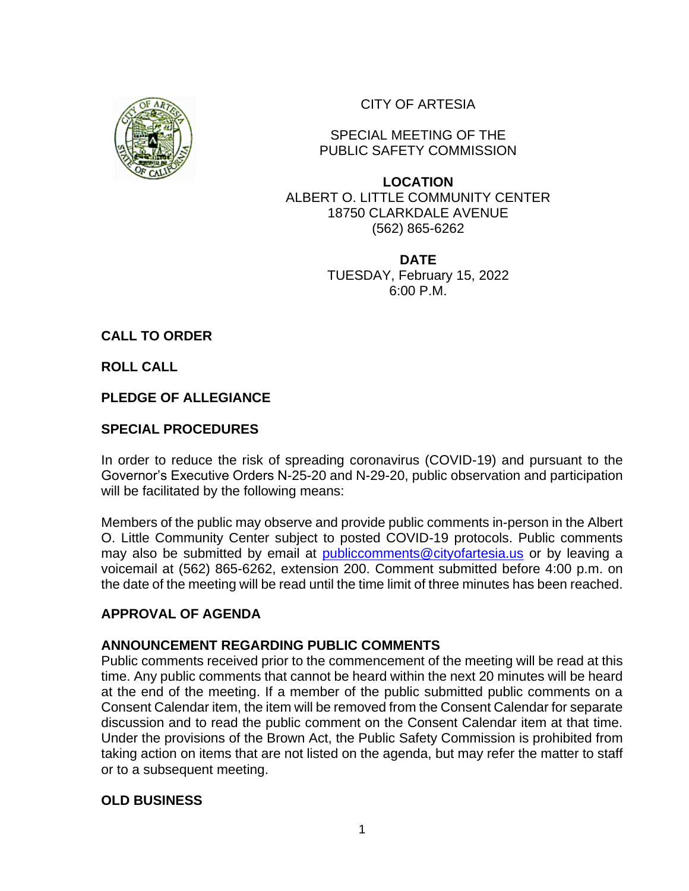

CITY OF ARTESIA

SPECIAL MEETING OF THE PUBLIC SAFETY COMMISSION

**LOCATION** ALBERT O. LITTLE COMMUNITY CENTER 18750 CLARKDALE AVENUE (562) 865-6262

> **DATE** TUESDAY, February 15, 2022 6:00 P.M.

**CALL TO ORDER** 

**ROLL CALL** 

**PLEDGE OF ALLEGIANCE**

# **SPECIAL PROCEDURES**

In order to reduce the risk of spreading coronavirus (COVID-19) and pursuant to the Governor's Executive Orders N-25-20 and N-29-20, public observation and participation will be facilitated by the following means:

Members of the public may observe and provide public comments in-person in the Albert O. Little Community Center subject to posted COVID-19 protocols. Public comments may also be submitted by email at [publiccomments@cityofartesia.us](mailto:publiccomments@cityofartesia.us) or by leaving a voicemail at (562) 865-6262, extension 200. Comment submitted before 4:00 p.m. on the date of the meeting will be read until the time limit of three minutes has been reached.

## **APPROVAL OF AGENDA**

## **ANNOUNCEMENT REGARDING PUBLIC COMMENTS**

Public comments received prior to the commencement of the meeting will be read at this time. Any public comments that cannot be heard within the next 20 minutes will be heard at the end of the meeting. If a member of the public submitted public comments on a Consent Calendar item, the item will be removed from the Consent Calendar for separate discussion and to read the public comment on the Consent Calendar item at that time. Under the provisions of the Brown Act, the Public Safety Commission is prohibited from taking action on items that are not listed on the agenda, but may refer the matter to staff or to a subsequent meeting.

## **OLD BUSINESS**